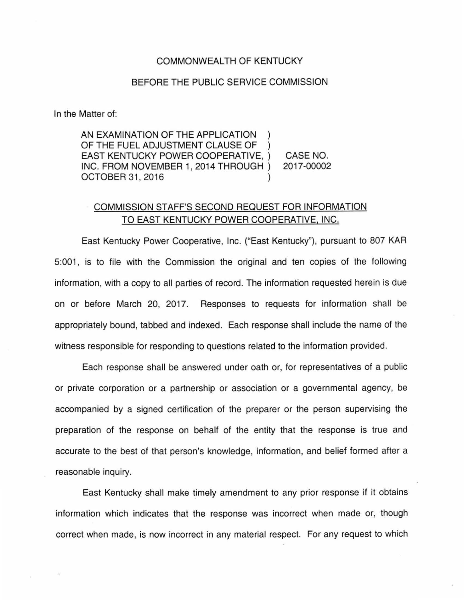## COMMONWEALTH OF KENTUCKY

## BEFORE THE PUBLIC SERVICE COMMISSION

In the Matter of:

AN EXAMINATION OF THE APPLICATION OF THE FUEL ADJUSTMENT CLAUSE OF EAST KENTUCKY POWER COOPERATIVE, ) INC. FROM NOVEMBER 1, 2014 THROUGH ) OCTOBER 31 , 2016 )

CASE NO. 2017-00002

## COMMISSION STAFF'S SECOND REQUEST FOR INFORMATION TO EAST KENTUCKY POWER COOPERATIVE, INC.

East Kentucky Power Cooperative, Inc. ("East Kentucky"), pursuant to 807 KAR 5:001, is to file with the Commission the original and ten copies of the following information, with a copy to all parties of record. The information requested herein is due on or before March 20, 2017. Responses to requests for information shall be appropriately bound, tabbed and indexed. Each response shall include the name of the witness responsible for responding to questions related to the information provided.

Each response shall be answered under oath or, for representatives of a public or private corporation or a partnership or association or a governmental agency, be accompanied by a signed certification of the preparer or the person supervising the preparation of the response on behalf of the entity that the response is true and accurate to the best of that person's knowledge, information, and belief formed after a reasonable inquiry.

East Kentucky shall make timely amendment to any prior response if it obtains information which indicates that the response was incorrect when made or, though correct when made, is now incorrect in any material respect. For any request to which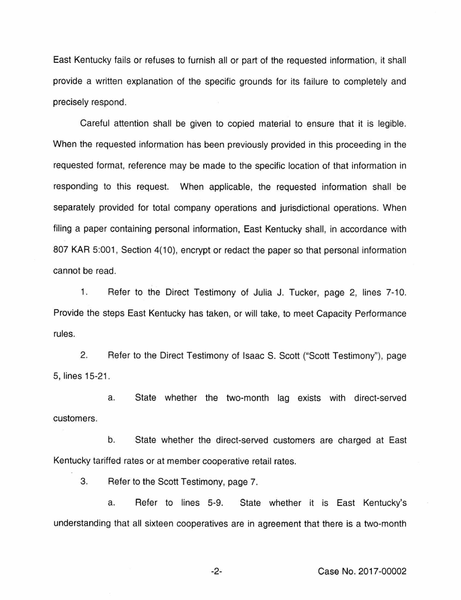East Kentucky fails or refuses to furnish all or part of the requested information, it shall provide a written explanation of the specific grounds for its failure to completely and precisely respond.

Careful attention shall be given to copied material to ensure that it is legible. When the requested information has been previously provided in this proceeding in the requested format, reference may be made to the specific location of that information in responding to this request. When applicable, the requested information shall be separately provided for total company operations and jurisdictional operations. When filing a paper containing personal information, East Kentucky shall, in accordance with 807 KAR 5:001, Section 4(10), encrypt or redact the paper so that personal information cannot be read.

1. Refer to the Direct Testimony of Julia J. Tucker, page 2, lines 7-10. Provide the steps East Kentucky has taken, or will take, to meet Capacity Performance rules.

2. Refer to the Direct Testimony of Isaac S. Scott ("Scott Testimony"), page 5, lines 15-21.

a. State whether the two-month lag exists with direct-served customers.

b. State whether the direct-served customers are charged at East Kentucky tariffed rates or at member cooperative retail rates.

3. Refer to the Scott Testimony, page 7.

a. Refer to lines 5-9. State whether it is East Kentucky's understanding that all sixteen cooperatives are in agreement that there is a two-month

-2- Case No. 2017-00002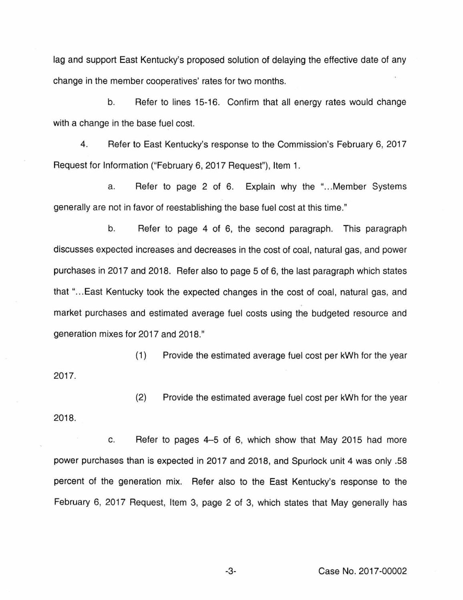lag and support East Kentucky's proposed solution of delaying the effective date of any change in the member cooperatives' rates for two months.

b. Refer to lines 15-16. Confirm that all energy rates would change with a change in the base fuel cost.

4. Refer to East Kentucky's response to the Commission's February 6, 2017 Request for Information ("February 6, 2017 Request"), Item 1.

a. Refer to page 2 of 6. Explain why the "...Member Systems generally are not in favor of reestablishing the base fuel cost at this time."

b. Refer to page 4 of 6, the second paragraph. This paragraph discusses expected increases and decreases in the cost of coal, natural gas, and power purchases in 2017 and 2018. Refer also to page 5 of 6, the last paragraph which states that "... East Kentucky took the expected changes in the cost of coal, natural gas, and market purchases and estimated average fuel costs using the budgeted resource and generation mixes for 2017 and 2018."

(1) Provide the estimated average fuel cost per kWh for the year 2017.

(2) Provide the estimated average fuel cost per kWh for the year 2018.

c. Refer to pages 4-5 of 6, which show that May 2015 had more power purchases than is expected in 2017 and 2018, and Spurlock unit 4 was only .58 percent of the generation mix. Refer also to the East Kentucky's response to the February 6, 2017 Request, Item 3, page 2 of 3, which states that May generally has

-3- Case No. 2017-00002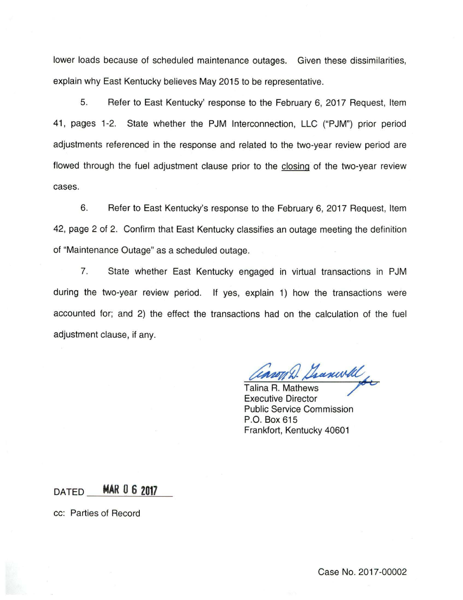lower loads because of scheduled maintenance outages. Given these dissimilarities, explain why East Kentucky believes May 2015 to be representative.

5. Refer to East Kentucky' response to the February 6, 2017 Request, Item 41 , pages 1-2. State whether the PJM Interconnection, LLC ("PJM") prior period adjustments referenced in the response and related to the two-year review period are flowed through the fuel adjustment clause prior to the closing of the two-year review cases.

6. Refer to East Kentucky's response to the February 6, 2017 Request, Item 42, page 2 of 2. Confirm that East Kentucky classifies an outage meeting the definition of "Maintenance Outage" as a scheduled outage.

7. State whether East Kentucky engaged in virtual transactions in PJM during the two-year review period. If yes, explain 1) how the transactions were accounted for; and 2) the effect the transactions had on the calculation of the fuel adjustment clause, if any.

Caron D. Granwell

Executive Director Public Service Commission P.O. Box 615 Frankfort, Kentucky 40601

DATED **MAR 0 6 2017** 

cc: Parties of Record